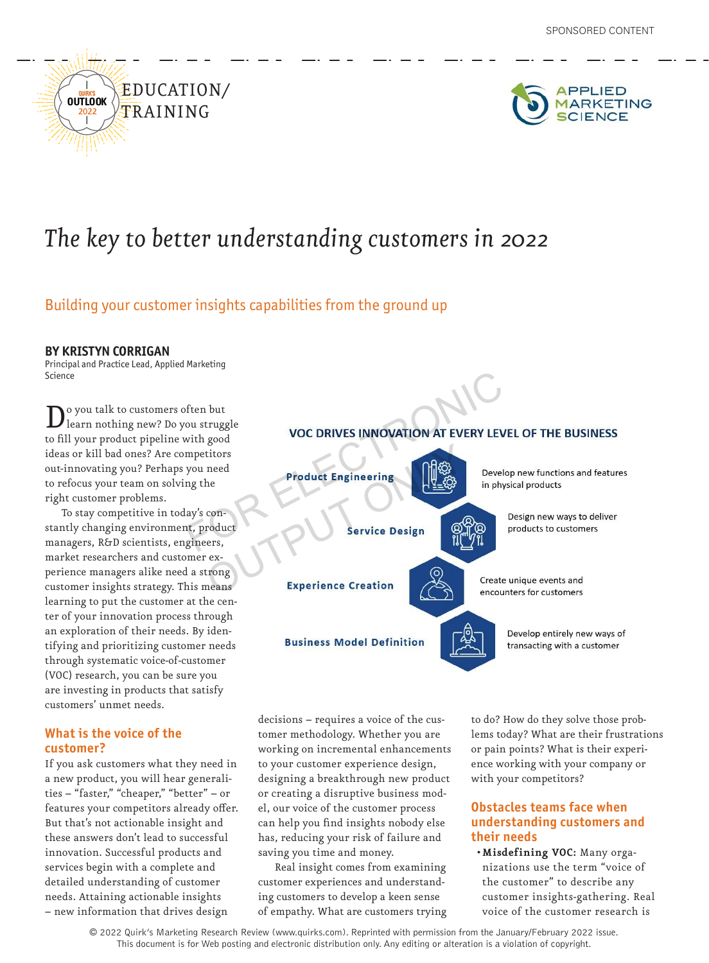



## *The key to better understanding customers in 2022*

## Building your customer insights capabilities from the ground up

### **BY KRISTYN CORRIGAN**

Principal and Practice Lead, Applied Marketing Science

Do you talk to customers often but<br>learn nothing new? Do you struggle to fill your product pipeline with good ideas or kill bad ones? Are competitors out-innovating you? Perhaps you need to refocus your team on solving the right customer problems.

To stay competitive in today's constantly changing environment, product managers, R&D scientists, engineers, market researchers and customer experience managers alike need a strong customer insights strategy. This means learning to put the customer at the center of your innovation process through an exploration of their needs. By identifying and prioritizing customer needs through systematic voice-of-customer (VOC) research, you can be sure you are investing in products that satisfy customers' unmet needs.

## **What is the voice of the customer?**

If you ask customers what they need in a new product, you will hear generalities – "faster," "cheaper," "better" – or features your competitors already offer. But that's not actionable insight and these answers don't lead to successful innovation. Successful products and services begin with a complete and detailed understanding of customer needs. Attaining actionable insights – new information that drives design

# For the product Engineering<br>
and the product Engineering<br>
and the product Engineering<br>
and the product Engineering<br>
and the product Engineering<br>
and the product<br>
Service Design<br>
Electronic<br>
Service Design<br>
The product<br>
For CONTROLL CONTROLL CONTROLL CONTROLL CONTROLL CONTROLL CONTROLL CONTROLL CONTROLL CONTROLL CONTROLL CONTROLL CONTROLL CONTROLL CONTROLL CONTROLL CONTROLL CONTROLL CONTROLL CONTROLL CONTROLL CONTROLL CONTROLL CONTROLL CONTRO Create unique events and encounters for customers Develop entirely new ways of **Business Model Definition** transacting with a customer

decisions – requires a voice of the customer methodology. Whether you are working on incremental enhancements to your customer experience design, designing a breakthrough new product or creating a disruptive business model, our voice of the customer process can help you find insights nobody else has, reducing your risk of failure and saving you time and money.

Real insight comes from examining customer experiences and understanding customers to develop a keen sense of empathy. What are customers trying

to do? How do they solve those problems today? What are their frustrations or pain points? What is their experience working with your company or with your competitors?

## **Obstacles teams face when understanding customers and their needs**

**• Misdefining VOC:** Many organizations use the term "voice of the customer" to describe any customer insights-gathering. Real voice of the customer research is

© 2022 Quirk's Marketing Research Review (www.quirks.com). Reprinted with permission from the January/February 2022 issue. This document is for Web posting and electronic distribution only. Any editing or alteration is a violation of copyright.